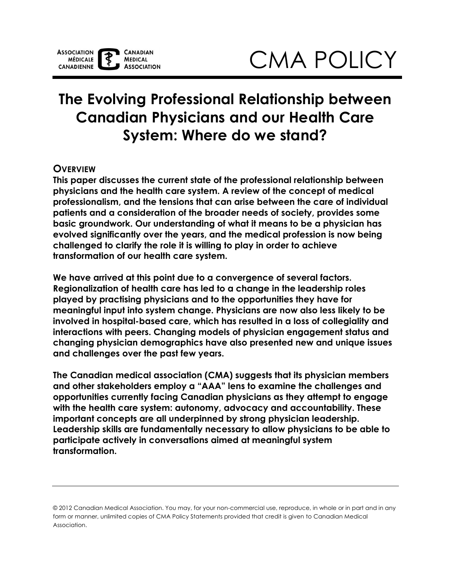# **The Evolving Professional Relationship between Canadian Physicians and our Health Care System: Where do we stand?**

# **OVERVIEW**

**This paper discusses the current state of the professional relationship between physicians and the health care system. A review of the concept of medical professionalism, and the tensions that can arise between the care of individual patients and a consideration of the broader needs of society, provides some basic groundwork. Our understanding of what it means to be a physician has evolved significantly over the years, and the medical profession is now being challenged to clarify the role it is willing to play in order to achieve transformation of our health care system.** 

**We have arrived at this point due to a convergence of several factors. Regionalization of health care has led to a change in the leadership roles played by practising physicians and to the opportunities they have for meaningful input into system change. Physicians are now also less likely to be involved in hospital-based care, which has resulted in a loss of collegiality and interactions with peers. Changing models of physician engagement status and changing physician demographics have also presented new and unique issues and challenges over the past few years.** 

**The Canadian medical association (CMA) suggests that its physician members and other stakeholders employ a "AAA" lens to examine the challenges and opportunities currently facing Canadian physicians as they attempt to engage with the health care system: autonomy, advocacy and accountability. These important concepts are all underpinned by strong physician leadership. Leadership skills are fundamentally necessary to allow physicians to be able to participate actively in conversations aimed at meaningful system transformation.** 

 © 2012 Canadian Medical Association. You may, for your non-commercial use, reproduce, in whole or in part and in any form or manner, unlimited copies of CMA Policy Statements provided that credit is given to Canadian Medical Association.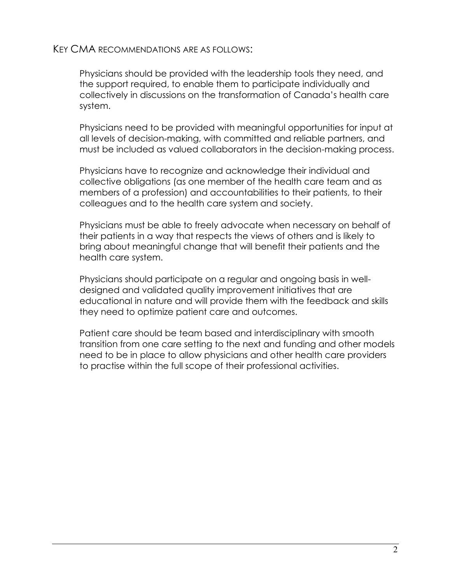## KEY CMA RECOMMENDATIONS ARE AS FOLLOWS:

Physicians should be provided with the leadership tools they need, and the support required, to enable them to participate individually and collectively in discussions on the transformation of Canada's health care system.

Physicians need to be provided with meaningful opportunities for input at all levels of decision-making, with committed and reliable partners, and must be included as valued collaborators in the decision-making process.

Physicians have to recognize and acknowledge their individual and collective obligations (as one member of the health care team and as members of a profession) and accountabilities to their patients, to their colleagues and to the health care system and society.

Physicians must be able to freely advocate when necessary on behalf of their patients in a way that respects the views of others and is likely to bring about meaningful change that will benefit their patients and the health care system.

Physicians should participate on a regular and ongoing basis in welldesigned and validated quality improvement initiatives that are educational in nature and will provide them with the feedback and skills they need to optimize patient care and outcomes.

Patient care should be team based and interdisciplinary with smooth transition from one care setting to the next and funding and other models need to be in place to allow physicians and other health care providers to practise within the full scope of their professional activities.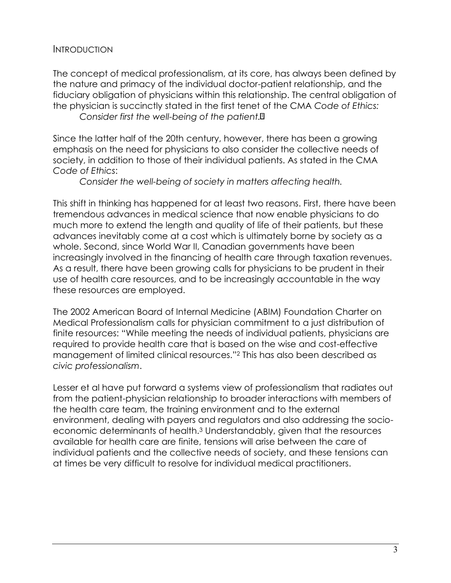#### INTRODUCTION

The concept of medical professionalism, at its core, has always been defined by the nature and primacy of the individual doctor-patient relationship, and the fiduciary obligation of physicians within this relationship. The central obligation of the physician is succinctly stated in the first tenet of the CMA *Code of Ethics:* 

*Consider first the well-being of the patient.*[1](#page-21-0)

Since the latter half of the 20th century, however, there has been a growing emphasis on the need for physicians to also consider the collective needs of society, in addition to those of their individual patients. As stated in the CMA *Code of Ethics*:

*Consider the well-being of society in matters affecting health.* 

This shift in thinking has happened for at least two reasons. First, there have been tremendous advances in medical science that now enable physicians to do much more to extend the length and quality of life of their patients, but these advances inevitably come at a cost which is ultimately borne by society as a whole. Second, since World War II, Canadian governments have been increasingly involved in the financing of health care through taxation revenues. As a result, there have been growing calls for physicians to be prudent in their use of health care resources, and to be increasingly accountable in the way these resources are employed.

The 2002 American Board of Internal Medicine (ABIM) Foundation Charter on Medical Professionalism calls for physician commitment to a just distribution of finite resources: "While meeting the needs of individual patients, physicians are required to provide health care that is based on the wise and cost-effective management of limited clinical resources."[2](#page-21-1) This has also been described as *civic professionalism*.

 Lesser et al have put forward a systems view of professionalism that radiates out from the patient-physician relationship to broader interactions with members of the health care team, the training environment and to the external environment, dealing with payers and regulators and also addressing the socioeconomic determinants of health[.3 U](#page-21-2)nderstandably, given that the resources available for health care are finite, tensions will arise between the care of individual patients and the collective needs of society, and these tensions can at times be very difficult to resolve for individual medical practitioners.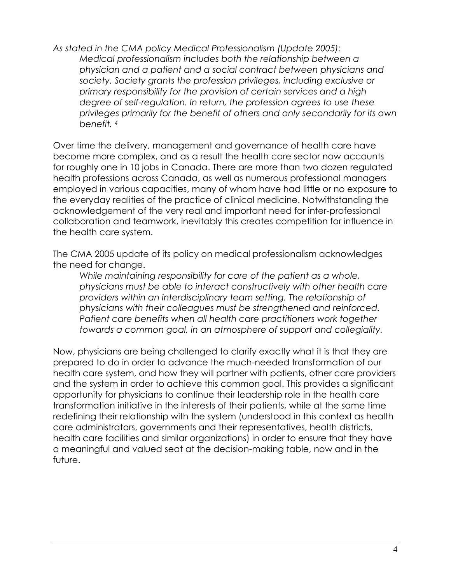*As stated in the CMA policy Medical Professionalism (Update 2005): Medical professionalism includes both the relationship between a physician and a patient and a social contract between physicians and society. Society grants the profession privileges, including exclusive or primary responsibility for the provision of certain services and a high degree of self-regulation. In return, the profession agrees to use these privileges primarily for the benefit of others and only secondarily for its own benefit. [4](#page-21-3)* 

 employed in various capacities, many of whom have had little or no exposure to Over time the delivery, management and governance of health care have become more complex, and as a result the health care sector now accounts for roughly one in 10 jobs in Canada. There are more than two dozen regulated health professions across Canada, as well as numerous professional managers the everyday realities of the practice of clinical medicine. Notwithstanding the acknowledgement of the very real and important need for inter-professional collaboration and teamwork, inevitably this creates competition for influence in the health care system.

The CMA 2005 update of its policy on medical professionalism acknowledges the need for change.

*While maintaining responsibility for care of the patient as a whole, physicians must be able to interact constructively with other health care providers within an interdisciplinary team setting. The relationship of physicians with their colleagues must be strengthened and reinforced. Patient care benefits when all health care practitioners work together towards a common goal, in an atmosphere of support and collegiality.* 

Now, physicians are being challenged to clarify exactly what it is that they are prepared to do in order to advance the much-needed transformation of our health care system, and how they will partner with patients, other care providers and the system in order to achieve this common goal. This provides a significant opportunity for physicians to continue their leadership role in the health care transformation initiative in the interests of their patients, while at the same time redefining their relationship with the system (understood in this context as health care administrators, governments and their representatives, health districts, health care facilities and similar organizations) in order to ensure that they have a meaningful and valued seat at the decision-making table, now and in the future.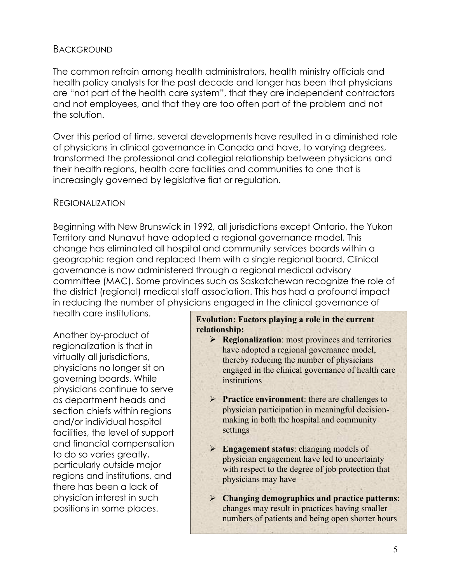## BACKGROUND

The common refrain among health administrators, health ministry officials and health policy analysts for the past decade and longer has been that physicians are "not part of the health care system", that they are independent contractors and not employees, and that they are too often part of the problem and not the solution.

Over this period of time, several developments have resulted in a diminished role of physicians in clinical governance in Canada and have, to varying degrees, transformed the professional and collegial relationship between physicians and their health regions, health care facilities and communities to one that is increasingly governed by legislative fiat or regulation.

## REGIONALIZATION

Beginning with New Brunswick in 1992, all jurisdictions except Ontario, the Yukon Territory and Nunavut have adopted a regional governance model. This change has eliminated all hospital and community services boards within a geographic region and replaced them with a single regional board. Clinical governance is now administered through a regional medical advisory committee (MAC). Some provinces such as Saskatchewan recognize the role of the district (regional) medical staff association. This has had a profound impact in reducing the number of physicians engaged in the clinical governance of

health care institutions.

Another by-product of regionalization is that in virtually all jurisdictions, physicians no longer sit on governing boards. While physicians continue to serve as department heads and section chiefs within regions and/or individual hospital facilities, the level of support and financial compensation to do so varies greatly, particularly outside major regions and institutions, and there has been a lack of physician interest in such positions in some places.

#### **Evolution: Factors playing a role in the current relationship:**

- ➢ **Regionalization**: most provinces and territories have adopted a regional governance model, thereby reducing the number of physicians engaged in the clinical governance of health care institutions
- ➢ **Practice environment**: there are challenges to physician participation in meaningful decisionmaking in both the hospital and community settings
- ➢ **Engagement status**: changing models of physician engagement have led to uncertainty with respect to the degree of job protection that physicians may have
- ➢ **Changing demographics and practice patterns**: changes may result in practices having smaller numbers of patients and being open shorter hours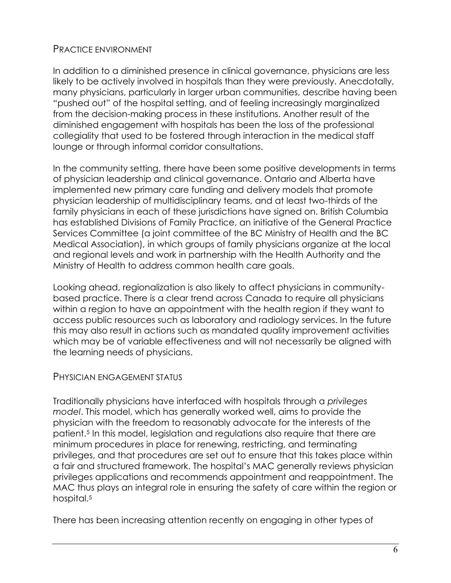# PRACTICE ENVIRONMENT

In addition to a diminished presence in clinical governance, physicians are less likely to be actively involved in hospitals than they were previously. Anecdotally, many physicians, particularly in larger urban communities, describe having been "pushed out" of the hospital setting, and of feeling increasingly marginalized from the decision-making process in these institutions. Another result of the diminished engagement with hospitals has been the loss of the professional collegiality that used to be fostered through interaction in the medical staff lounge or through informal corridor consultations.

 Ministry of Health to address common health care goals. In the community setting, there have been some positive developments in terms of physician leadership and clinical governance. Ontario and Alberta have implemented new primary care funding and delivery models that promote physician leadership of multidisciplinary teams, and at least two-thirds of the family physicians in each of these jurisdictions have signed on. British Columbia has established Divisions of Family Practice, an initiative of the General Practice Services Committee (a joint committee of the BC Ministry of Health and the BC Medical Association), in which groups of family physicians organize at the local and regional levels and work in partnership with the Health Authority and the

Looking ahead, regionalization is also likely to affect physicians in communitybased practice. There is a clear trend across Canada to require all physicians within a region to have an appointment with the health region if they want to access public resources such as laboratory and radiology services. In the future this may also result in actions such as mandated quality improvement activities which may be of variable effectiveness and will not necessarily be aligned with the learning needs of physicians.

# PHYSICIAN ENGAGEMENT STATUS

Traditionally physicians have interfaced with hospitals through a *privileges model*. This model, which has generally worked well, aims to provide the physician with the freedom to reasonably advocate for the interests of the patient.5 In this model, legislation and regulations also require that there are minimum procedures in place for renewing, restricting, and terminating privileges, and that procedures are set out to ensure that this takes place within a fair and structured framework. The hospital's MAC generally reviews physician privileges applications and recommends appointment and reappointment. The MAC thus plays an integral role in ensuring the safety of care within the region or hospital.<sup>5</sup>

There has been increasing attention recently on engaging in other types of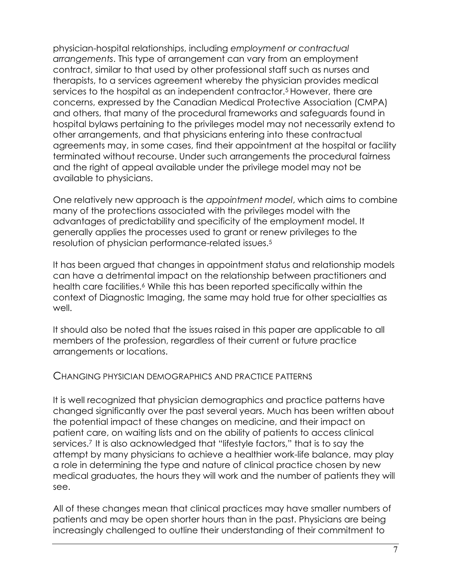physician-hospital relationships, including *employment or contractual arrangements*. This type of arrangement can vary from an employment contract, similar to that used by other professional staff such as nurses and therapists, to a services agreement whereby the physician provides medical services to the hospital as an independent contractor[.5 H](#page-21-4)owever, there are concerns, expressed by the Canadian Medical Protective Association (CMPA) and others, that many of the procedural frameworks and safeguards found in hospital bylaws pertaining to the privileges model may not necessarily extend to other arrangements, and that physicians entering into these contractual agreements may, in some cases, find their appointment at the hospital or facility terminated without recourse. Under such arrangements the procedural fairness and the right of appeal available under the privilege model may not be available to physicians.

One relatively new approach is the *appointment model*, which aims to combine many of the protections associated with the privileges model with the advantages of predictability and specificity of the employment model. It generally applies the processes used to grant or renew privileges to the resolution of physician performance-related issues[.5](#page-21-4) 

It has been argued that changes in appointment status and relationship models can have a detrimental impact on the relationship between practitioners and health care facilities.<sup>6</sup> While this has been reported specifically within the context of Diagnostic Imaging, the same may hold true for other specialties as well.

It should also be noted that the issues raised in this paper are applicable to all members of the profession, regardless of their current or future practice arrangements or locations.

### CHANGING PHYSICIAN DEMOGRAPHICS AND PRACTICE PATTERNS

 services[.7](#page-21-6) It is also acknowledged that "lifestyle factors," that is to say the It is well recognized that physician demographics and practice patterns have changed significantly over the past several years. Much has been written about the potential impact of these changes on medicine, and their impact on patient care, on waiting lists and on the ability of patients to access clinical attempt by many physicians to achieve a healthier work-life balance, may play a role in determining the type and nature of clinical practice chosen by new medical graduates, the hours they will work and the number of patients they will see.

All of these changes mean that clinical practices may have smaller numbers of patients and may be open shorter hours than in the past. Physicians are being increasingly challenged to outline their understanding of their commitment to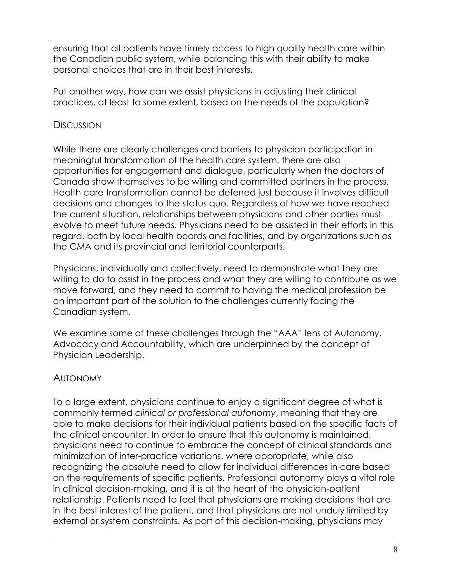ensuring that all patients have timely access to high quality health care within the Canadian public system, while balancing this with their ability to make personal choices that are in their best interests.

Put another way, how can we assist physicians in adjusting their clinical practices, at least to some extent, based on the needs of the population?

# **DISCUSSION**

While there are clearly challenges and barriers to physician participation in meaningful transformation of the health care system, there are also opportunities for engagement and dialogue, particularly when the doctors of Canada show themselves to be willing and committed partners in the process. Health care transformation cannot be deferred just because it involves difficult decisions and changes to the status quo. Regardless of how we have reached the current situation, relationships between physicians and other parties must evolve to meet future needs. Physicians need to be assisted in their efforts in this regard, both by local health boards and facilities, and by organizations such as the CMA and its provincial and territorial counterparts.

 move forward, and they need to commit to having the medical profession be Physicians, individually and collectively, need to demonstrate what they are willing to do to assist in the process and what they are willing to contribute as we an important part of the solution to the challenges currently facing the Canadian system.

We examine some of these challenges through the "AAA" lens of Autonomy, Advocacy and Accountability, which are underpinned by the concept of Physician Leadership.

# AUTONOMY

 commonly termed *clinical or professional autonomy*, meaning that they are able to make decisions for their individual patients based on the specific facts of To a large extent, physicians continue to enjoy a significant degree of what is the clinical encounter. In order to ensure that this autonomy is maintained, physicians need to continue to embrace the concept of clinical standards and minimization of inter-practice variations, where appropriate, while also recognizing the absolute need to allow for individual differences in care based on the requirements of specific patients. Professional autonomy plays a vital role in clinical decision-making, and it is at the heart of the physician-patient relationship. Patients need to feel that physicians are making decisions that are in the best interest of the patient, and that physicians are not unduly limited by external or system constraints. As part of this decision-making, physicians may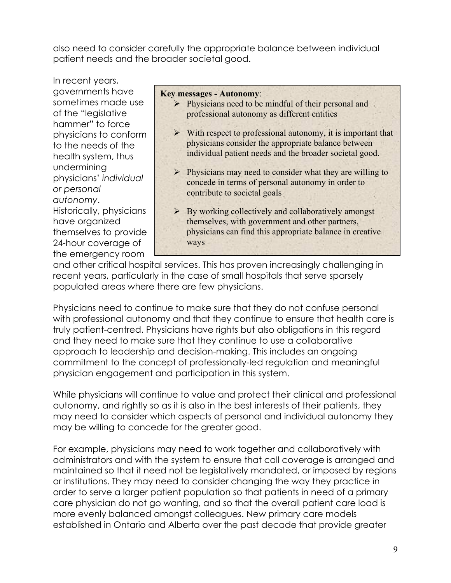also need to consider carefully the appropriate balance between individual patient needs and the broader societal good.

In recent years, governments have sometimes made use of the "legislative hammer" to force physicians to conform to the needs of the health system, thus undermining physicians' *individual or personal autonomy*. Historically, physicians have organized themselves to provide 24-hour coverage of the emergency room

#### **Key messages - Autonomy**:

- ➢ Physicians need to be mindful of their personal and professional autonomy as different entities
- $\triangleright$  With respect to professional autonomy, it is important that physicians consider the appropriate balance between individual patient needs and the broader societal good.
- ➢ Physicians may need to consider what they are willing to concede in terms of personal autonomy in order to contribute to societal goals
- $\triangleright$  By working collectively and collaboratively amongst themselves, with government and other partners, physicians can find this appropriate balance in creative ways

and other critical hospital services. This has proven increasingly challenging in recent years, particularly in the case of small hospitals that serve sparsely populated areas where there are few physicians.

Physicians need to continue to make sure that they do not confuse personal with professional autonomy and that they continue to ensure that health care is truly patient-centred. Physicians have rights but also obligations in this regard and they need to make sure that they continue to use a collaborative approach to leadership and decision-making. This includes an ongoing commitment to the concept of professionally-led regulation and meaningful physician engagement and participation in this system.

 may need to consider which aspects of personal and individual autonomy they While physicians will continue to value and protect their clinical and professional autonomy, and rightly so as it is also in the best interests of their patients, they may be willing to concede for the greater good.

For example, physicians may need to work together and collaboratively with administrators and with the system to ensure that call coverage is arranged and maintained so that it need not be legislatively mandated, or imposed by regions or institutions. They may need to consider changing the way they practice in order to serve a larger patient population so that patients in need of a primary care physician do not go wanting, and so that the overall patient care load is more evenly balanced amongst colleagues. New primary care models established in Ontario and Alberta over the past decade that provide greater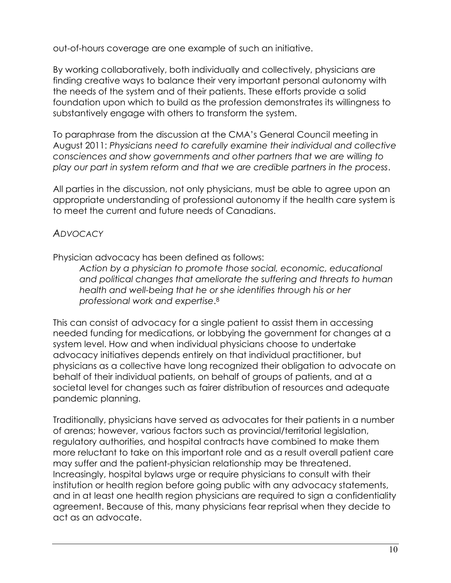out-of-hours coverage are one example of such an initiative.

By working collaboratively, both individually and collectively, physicians are finding creative ways to balance their very important personal autonomy with the needs of the system and of their patients. These efforts provide a solid foundation upon which to build as the profession demonstrates its willingness to substantively engage with others to transform the system.

To paraphrase from the discussion at the CMA's General Council meeting in August 2011: *Physicians need to carefully examine their individual and collective consciences and show governments and other partners that we are willing to play our part in system reform and that we are credible partners in the process*.

All parties in the discussion, not only physicians, must be able to agree upon an appropriate understanding of professional autonomy if the health care system is to meet the current and future needs of Canadians.

# *ADVOCACY*

Physician advocacy has been defined as follows:

*Action by a physician to promote those social, economic, educational and political changes that ameliorate the suffering and threats to human health and well-being that he or she identifies through his or her professional work and expertise*[.8](#page-21-7) 

This can consist of advocacy for a single patient to assist them in accessing needed funding for medications, or lobbying the government for changes at a system level. How and when individual physicians choose to undertake advocacy initiatives depends entirely on that individual practitioner, but physicians as a collective have long recognized their obligation to advocate on behalf of their individual patients, on behalf of groups of patients, and at a societal level for changes such as fairer distribution of resources and adequate pandemic planning.

 agreement. Because of this, many physicians fear reprisal when they decide to Traditionally, physicians have served as advocates for their patients in a number of arenas; however, various factors such as provincial/territorial legislation, regulatory authorities, and hospital contracts have combined to make them more reluctant to take on this important role and as a result overall patient care may suffer and the patient-physician relationship may be threatened. Increasingly, hospital bylaws urge or require physicians to consult with their institution or health region before going public with any advocacy statements, and in at least one health region physicians are required to sign a confidentiality act as an advocate.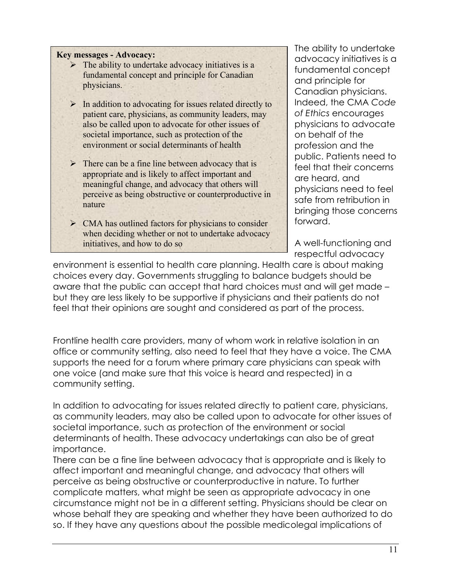#### **Key messages - Advocacy:**

- $\triangleright$  The ability to undertake advocacy initiatives is a fundamental concept and principle for Canadian physicians.
- $\triangleright$  In addition to advocating for issues related directly to patient care, physicians, as community leaders, may also be called upon to advocate for other issues of societal importance, such as protection of the environment or social determinants of health
- $\triangleright$  There can be a fine line between advocacy that is appropriate and is likely to affect important and meaningful change, and advocacy that others will perceive as being obstructive or counterproductive in nature
- ➢ CMA has outlined factors for physicians to consider when deciding whether or not to undertake advocacy initiatives, and how to do so

The ability to undertake advocacy initiatives is a fundamental concept and principle for Canadian physicians. Indeed, the CMA *Code of Ethics* encourages physicians to advocate on behalf of the profession and the public. Patients need to feel that their concerns are heard, and physicians need to feel safe from retribution in bringing those concerns forward.

A well-functioning and respectful advocacy

environment is essential to health care planning. Health care is about making choices every day. Governments struggling to balance budgets should be aware that the public can accept that hard choices must and will get made – but they are less likely to be supportive if physicians and their patients do not feel that their opinions are sought and considered as part of the process.

Frontline health care providers, many of whom work in relative isolation in an office or community setting, also need to feel that they have a voice. The CMA supports the need for a forum where primary care physicians can speak with one voice (and make sure that this voice is heard and respected) in a community setting.

In addition to advocating for issues related directly to patient care, physicians, as community leaders, may also be called upon to advocate for other issues of societal importance, such as protection of the environment or social determinants of health. These advocacy undertakings can also be of great importance.

There can be a fine line between advocacy that is appropriate and is likely to affect important and meaningful change, and advocacy that others will perceive as being obstructive or counterproductive in nature. To further complicate matters, what might be seen as appropriate advocacy in one circumstance might not be in a different setting. Physicians should be clear on whose behalf they are speaking and whether they have been authorized to do so. If they have any questions about the possible medicolegal implications of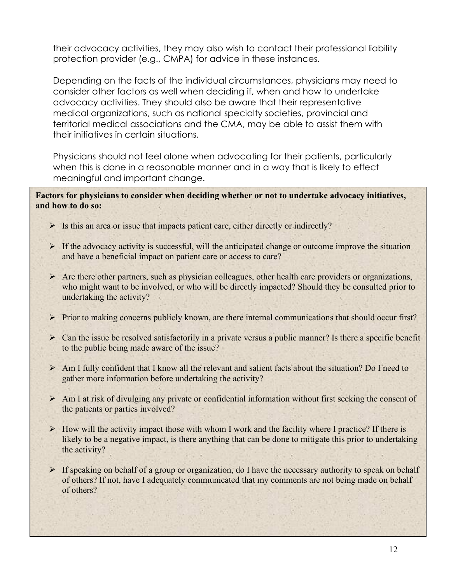their advocacy activities, they may also wish to contact their professional liability protection provider (e.g., CMPA) for advice in these instances.

Depending on the facts of the individual circumstances, physicians may need to consider other factors as well when deciding if, when and how to undertake advocacy activities. They should also be aware that their representative medical organizations, such as national specialty societies, provincial and territorial medical associations and the CMA, may be able to assist them with their initiatives in certain situations.

Physicians should not feel alone when advocating for their patients, particularly when this is done in a reasonable manner and in a way that is likely to effect meaningful and important change.

**Factors for physicians to consider when deciding whether or not to undertake advocacy initiatives, and how to do so:** 

- $\triangleright$  Is this an area or issue that impacts patient care, either directly or indirectly?
- $\triangleright$  If the advocacy activity is successful, will the anticipated change or outcome improve the situation and have a beneficial impact on patient care or access to care?
- ➢ Are there other partners, such as physician colleagues, other health care providers or organizations, who might want to be involved, or who will be directly impacted? Should they be consulted prior to undertaking the activity?
- $\triangleright$  Prior to making concerns publicly known, are there internal communications that should occur first?
- ➢ Can the issue be resolved satisfactorily in a private versus a public manner? Is there a specific benefit to the public being made aware of the issue?
- ➢ Am I fully confident that I know all the relevant and salient facts about the situation? Do I need to gather more information before undertaking the activity?
- $\triangleright$  Am I at risk of divulging any private or confidential information without first seeking the consent of the patients or parties involved?
- $\triangleright$  How will the activity impact those with whom I work and the facility where I practice? If there is likely to be a negative impact, is there anything that can be done to mitigate this prior to undertaking the activity?
- of others? If not, have I adequately communicated that my comments are not being made on behalf ➢ If speaking on behalf of a group or organization, do I have the necessary authority to speak on behalf of others?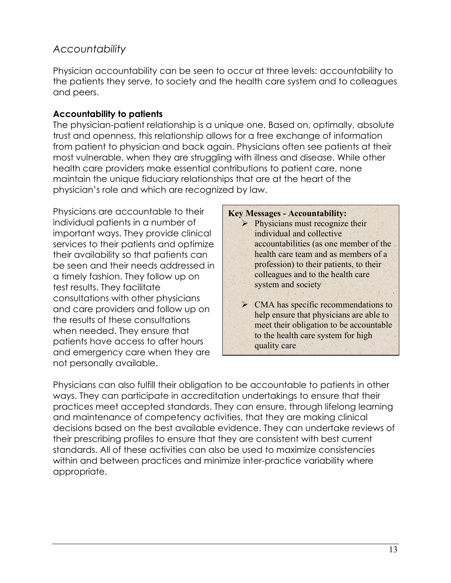# *Accountability*

Physician accountability can be seen to occur at three levels: accountability to the patients they serve, to society and the health care system and to colleagues and peers.

## **Accountability to patients**

The physician-patient relationship is a unique one. Based on, optimally, absolute trust and openness, this relationship allows for a free exchange of information from patient to physician and back again. Physicians often see patients at their most vulnerable, when they are struggling with illness and disease. While other health care providers make essential contributions to patient care, none maintain the unique fiduciary relationships that are at the heart of the physician's role and which are recognized by law.

Physicians are accountable to their individual patients in a number of important ways. They provide clinical services to their patients and optimize their availability so that patients can be seen and their needs addressed in a timely fashion. They follow up on test results. They facilitate consultations with other physicians and care providers and follow up on the results of these consultations when needed. They ensure that patients have access to after hours and emergency care when they are not personally available.

#### **Key Messages - Accountability:**

- $\triangleright$  Physicians must recognize their individual and collective accountabilities (as one member of the health care team and as members of a profession) to their patients, to their colleagues and to the health care system and society
- ➢ CMA has specific recommendations to help ensure that physicians are able to meet their obligation to be accountable to the health care system for high quality care

Physicians can also fulfill their obligation to be accountable to patients in other ways. They can participate in accreditation undertakings to ensure that their practices meet accepted standards. They can ensure, through lifelong learning and maintenance of competency activities, that they are making clinical decisions based on the best available evidence. They can undertake reviews of their prescribing profiles to ensure that they are consistent with best current standards. All of these activities can also be used to maximize consistencies within and between practices and minimize inter-practice variability where appropriate.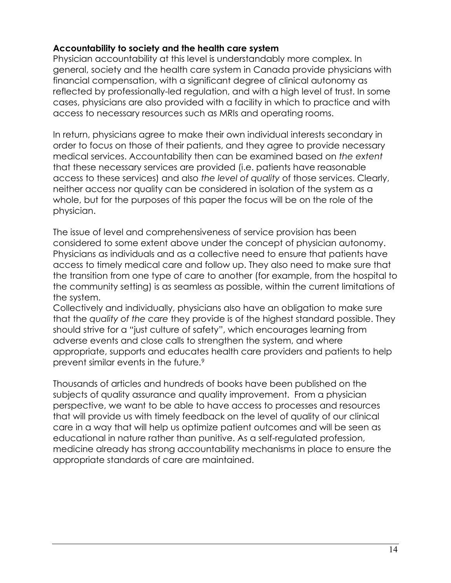## **Accountability to society and the health care system**

Physician accountability at this level is understandably more complex. In general, society and the health care system in Canada provide physicians with financial compensation, with a significant degree of clinical autonomy as reflected by professionally-led regulation, and with a high level of trust. In some cases, physicians are also provided with a facility in which to practice and with access to necessary resources such as MRIs and operating rooms.

In return, physicians agree to make their own individual interests secondary in order to focus on those of their patients, and they agree to provide necessary medical services. Accountability then can be examined based on *the extent*  that these necessary services are provided (i.e. patients have reasonable access to these services) and also *the level of quality* of those services. Clearly, neither access nor quality can be considered in isolation of the system as a whole, but for the purposes of this paper the focus will be on the role of the physician.

The issue of level and comprehensiveness of service provision has been considered to some extent above under the concept of physician autonomy. Physicians as individuals and as a collective need to ensure that patients have access to timely medical care and follow up. They also need to make sure that the transition from one type of care to another (for example, from the hospital to the community setting) is as seamless as possible, within the current limitations of the system.

Collectively and individually, physicians also have an obligation to make sure that the *quality of the care* they provide is of the highest standard possible. They should strive for a "just culture of safety", which encourages learning from adverse events and close calls to strengthen the system, and where appropriate, supports and educates health care providers and patients to help prevent similar events in the future.<sup>9</sup>

 subjects of quality assurance and quality improvement. From a physician Thousands of articles and hundreds of books have been published on the perspective, we want to be able to have access to processes and resources that will provide us with timely feedback on the level of quality of our clinical care in a way that will help us optimize patient outcomes and will be seen as educational in nature rather than punitive. As a self-regulated profession, medicine already has strong accountability mechanisms in place to ensure the appropriate standards of care are maintained.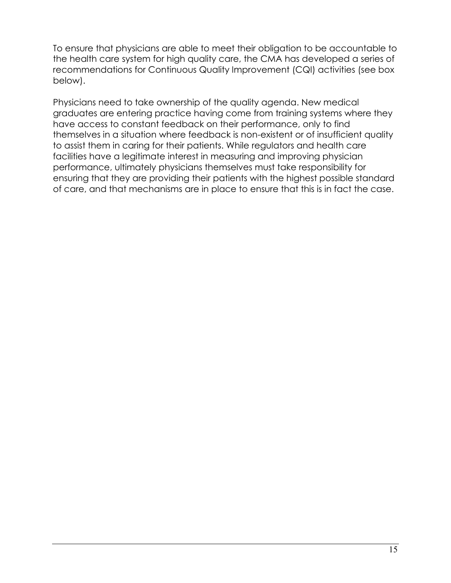To ensure that physicians are able to meet their obligation to be accountable to the health care system for high quality care, the CMA has developed a series of recommendations for Continuous Quality Improvement (CQI) activities (see box below).

Physicians need to take ownership of the quality agenda. New medical graduates are entering practice having come from training systems where they have access to constant feedback on their performance, only to find themselves in a situation where feedback is non-existent or of insufficient quality to assist them in caring for their patients. While regulators and health care facilities have a legitimate interest in measuring and improving physician performance, ultimately physicians themselves must take responsibility for ensuring that they are providing their patients with the highest possible standard of care, and that mechanisms are in place to ensure that this is in fact the case.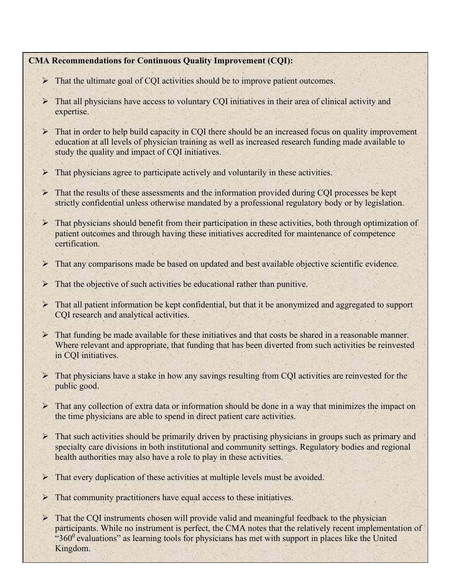#### **CMA Recommendations for Continuous Quality Improvement (CQI):**

- ➢ That the ultimate goal of CQI activities should be to improve patient outcomes.
- ➢ That all physicians have access to voluntary CQI initiatives in their area of clinical activity and expertise.
- ➢ That in order to help build capacity in CQI there should be an increased focus on quality improvement education at all levels of physician training as well as increased research funding made available to study the quality and impact of CQI initiatives.
- $\triangleright$  That physicians agree to participate actively and voluntarily in these activities.
- ➢ That the results of these assessments and the information provided during CQI processes be kept strictly confidential unless otherwise mandated by a professional regulatory body or by legislation.
- ➢ That physicians should benefit from their participation in these activities, both through optimization of patient outcomes and through having these initiatives accredited for maintenance of competence certification.
- ➢ That any comparisons made be based on updated and best available objective scientific evidence.
- $\triangleright$  That the objective of such activities be educational rather than punitive.
- ➢ That all patient information be kept confidential, but that it be anonymized and aggregated to support CQI research and analytical activities.
- ➢ That funding be made available for these initiatives and that costs be shared in a reasonable manner. Where relevant and appropriate, that funding that has been diverted from such activities be reinvested in CQI initiatives.
- ➢ That physicians have a stake in how any savings resulting from CQI activities are reinvested for the public good.
- ➢ That any collection of extra data or information should be done in a way that minimizes the impact on the time physicians are able to spend in direct patient care activities.
- ➢ That such activities should be primarily driven by practising physicians in groups such as primary and specialty care divisions in both institutional and community settings. Regulatory bodies and regional health authorities may also have a role to play in these activities.
- ➢ That every duplication of these activities at multiple levels must be avoided.
- ➢ That community practitioners have equal access to these initiatives.
- $\triangleright$  That the CQI instruments chosen will provide valid and meaningful feedback to the physician participants. While no instrument is perfect, the CMA notes that the relatively recent implementation of " $360<sup>0</sup>$  evaluations" as learning tools for physicians has met with support in places like the United Kingdom.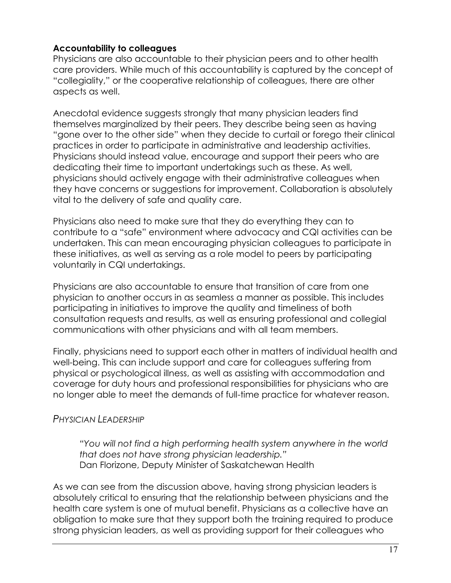## **Accountability to colleagues**

Physicians are also accountable to their physician peers and to other health care providers. While much of this accountability is captured by the concept of "collegiality," or the cooperative relationship of colleagues, there are other aspects as well.

Anecdotal evidence suggests strongly that many physician leaders find themselves marginalized by their peers. They describe being seen as having "gone over to the other side" when they decide to curtail or forego their clinical practices in order to participate in administrative and leadership activities. Physicians should instead value, encourage and support their peers who are dedicating their time to important undertakings such as these. As well, physicians should actively engage with their administrative colleagues when they have concerns or suggestions for improvement. Collaboration is absolutely vital to the delivery of safe and quality care.

 Physicians also need to make sure that they do everything they can to contribute to a "safe" environment where advocacy and CQI activities can be undertaken. This can mean encouraging physician colleagues to participate in these initiatives, as well as serving as a role model to peers by participating voluntarily in CQI undertakings.

Physicians are also accountable to ensure that transition of care from one physician to another occurs in as seamless a manner as possible. This includes participating in initiatives to improve the quality and timeliness of both consultation requests and results, as well as ensuring professional and collegial communications with other physicians and with all team members.

Finally, physicians need to support each other in matters of individual health and well-being. This can include support and care for colleagues suffering from physical or psychological illness, as well as assisting with accommodation and coverage for duty hours and professional responsibilities for physicians who are no longer able to meet the demands of full-time practice for whatever reason.

# *PHYSICIAN LEADERSHIP*

*"You will not find a high performing health system anywhere in the world that does not have strong physician leadership."* Dan Florizone, Deputy Minister of Saskatchewan Health

As we can see from the discussion above, having strong physician leaders is absolutely critical to ensuring that the relationship between physicians and the health care system is one of mutual benefit. Physicians as a collective have an obligation to make sure that they support both the training required to produce strong physician leaders, as well as providing support for their colleagues who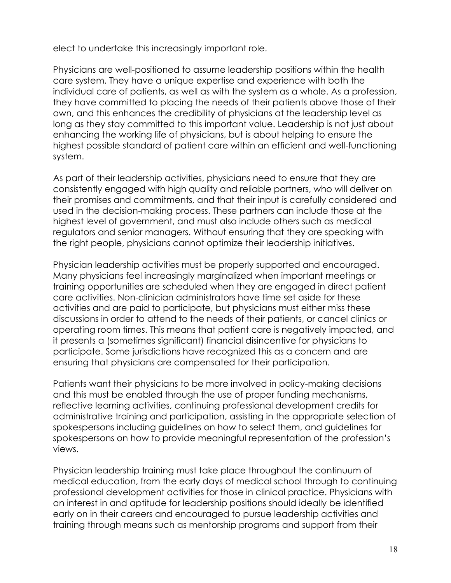elect to undertake this increasingly important role.

 own, and this enhances the credibility of physicians at the leadership level as Physicians are well-positioned to assume leadership positions within the health care system. They have a unique expertise and experience with both the individual care of patients, as well as with the system as a whole. As a profession, they have committed to placing the needs of their patients above those of their long as they stay committed to this important value. Leadership is not just about enhancing the working life of physicians, but is about helping to ensure the highest possible standard of patient care within an efficient and well-functioning system.

As part of their leadership activities, physicians need to ensure that they are consistently engaged with high quality and reliable partners, who will deliver on their promises and commitments, and that their input is carefully considered and used in the decision-making process. These partners can include those at the highest level of government, and must also include others such as medical regulators and senior managers. Without ensuring that they are speaking with the right people, physicians cannot optimize their leadership initiatives.

Physician leadership activities must be properly supported and encouraged. Many physicians feel increasingly marginalized when important meetings or training opportunities are scheduled when they are engaged in direct patient care activities. Non-clinician administrators have time set aside for these activities and are paid to participate, but physicians must either miss these discussions in order to attend to the needs of their patients, or cancel clinics or operating room times. This means that patient care is negatively impacted, and it presents a (sometimes significant) financial disincentive for physicians to participate. Some jurisdictions have recognized this as a concern and are ensuring that physicians are compensated for their participation.

Patients want their physicians to be more involved in policy-making decisions and this must be enabled through the use of proper funding mechanisms, reflective learning activities, continuing professional development credits for administrative training and participation, assisting in the appropriate selection of spokespersons including guidelines on how to select them, and guidelines for spokespersons on how to provide meaningful representation of the profession's views.

Physician leadership training must take place throughout the continuum of medical education, from the early days of medical school through to continuing professional development activities for those in clinical practice. Physicians with an interest in and aptitude for leadership positions should ideally be identified early on in their careers and encouraged to pursue leadership activities and training through means such as mentorship programs and support from their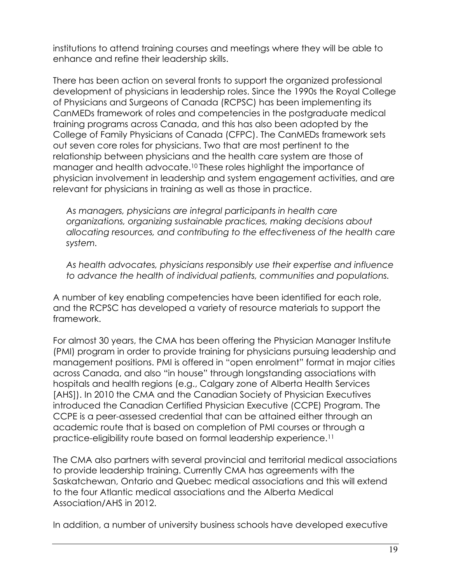institutions to attend training courses and meetings where they will be able to enhance and refine their leadership skills.

There has been action on several fronts to support the organized professional development of physicians in leadership roles. Since the 1990s the Royal College of Physicians and Surgeons of Canada (RCPSC) has been implementing its CanMEDs framework of roles and competencies in the postgraduate medical training programs across Canada, and this has also been adopted by the College of Family Physicians of Canada (CFPC). The CanMEDs framework sets out seven core roles for physicians. Two that are most pertinent to the relationship between physicians and the health care system are those of manager and health advocate[.10](#page-21-9) These roles highlight the importance of physician involvement in leadership and system engagement activities, and are relevant for physicians in training as well as those in practice.

*As managers, physicians are integral participants in health care organizations, organizing sustainable practices, making decisions about allocating resources, and contributing to the effectiveness of the health care system.* 

*As health advocates, physicians responsibly use their expertise and influence to advance the health of individual patients, communities and populations.* 

A number of key enabling competencies have been identified for each role, and the RCPSC has developed a variety of resource materials to support the framework.

For almost 30 years, the CMA has been offering the Physician Manager Institute (PMI) program in order to provide training for physicians pursuing leadership and management positions. PMI is offered in "open enrolment" format in major cities across Canada, and also "in house" through longstanding associations with hospitals and health regions (e.g., Calgary zone of Alberta Health Services [AHS]). In 2010 the CMA and the Canadian Society of Physician Executives introduced the Canadian Certified Physician Executive (CCPE) Program. The CCPE is a peer-assessed credential that can be attained either through an academic route that is based on completion of PMI courses or through a practice-eligibility route based on formal leadership experience[.11](#page-21-10) 

The CMA also partners with several provincial and territorial medical associations to provide leadership training. Currently CMA has agreements with the Saskatchewan, Ontario and Quebec medical associations and this will extend to the four Atlantic medical associations and the Alberta Medical Association/AHS in 2012.

In addition, a number of university business schools have developed executive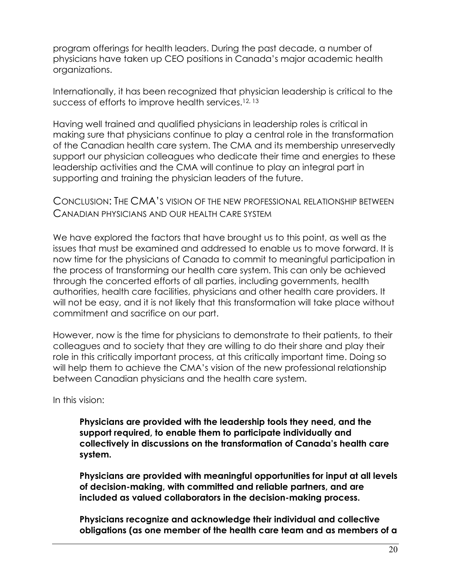program offerings for health leaders. During the past decade, a number of physicians have taken up CEO positions in Canada's major academic health organizations.

Internationally, it has been recognized that physician leadership is critical to the success of efforts to improve health services.<sup>12, 13</sup>

Having well trained and qualified physicians in leadership roles is critical in making sure that physicians continue to play a central role in the transformation of the Canadian health care system. The CMA and its membership unreservedly support our physician colleagues who dedicate their time and energies to these leadership activities and the CMA will continue to play an integral part in supporting and training the physician leaders of the future.

 CANADIAN PHYSICIANS AND OUR HEALTH CARE SYSTEM CONCLUSION: THE CMA'S VISION OF THE NEW PROFESSIONAL RELATIONSHIP BETWEEN

 We have explored the factors that have brought us to this point, as well as the issues that must be examined and addressed to enable us to move forward. It is now time for the physicians of Canada to commit to meaningful participation in the process of transforming our health care system. This can only be achieved through the concerted efforts of all parties, including governments, health authorities, health care facilities, physicians and other health care providers. It will not be easy, and it is not likely that this transformation will take place without commitment and sacrifice on our part.

 role in this critically important process, at this critically important time. Doing so However, now is the time for physicians to demonstrate to their patients, to their colleagues and to society that they are willing to do their share and play their will help them to achieve the CMA's vision of the new professional relationship between Canadian physicians and the health care system.

In this vision:

**Physicians are provided with the leadership tools they need, and the support required, to enable them to participate individually and collectively in discussions on the transformation of Canada's health care system.** 

**Physicians are provided with meaningful opportunities for input at all levels of decision-making, with committed and reliable partners, and are included as valued collaborators in the decision-making process.** 

**Physicians recognize and acknowledge their individual and collective obligations (as one member of the health care team and as members of a**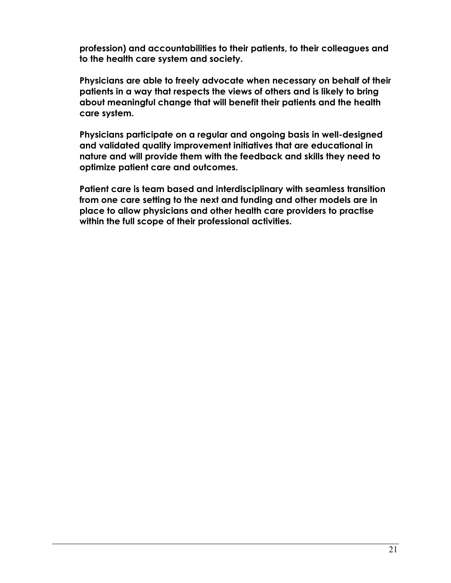**profession) and accountabilities to their patients, to their colleagues and to the health care system and society.** 

**Physicians are able to freely advocate when necessary on behalf of their patients in a way that respects the views of others and is likely to bring about meaningful change that will benefit their patients and the health care system.** 

**Physicians participate on a regular and ongoing basis in well-designed and validated quality improvement initiatives that are educational in nature and will provide them with the feedback and skills they need to optimize patient care and outcomes.** 

**Patient care is team based and interdisciplinary with seamless transition from one care setting to the next and funding and other models are in place to allow physicians and other health care providers to practise within the full scope of their professional activities.**